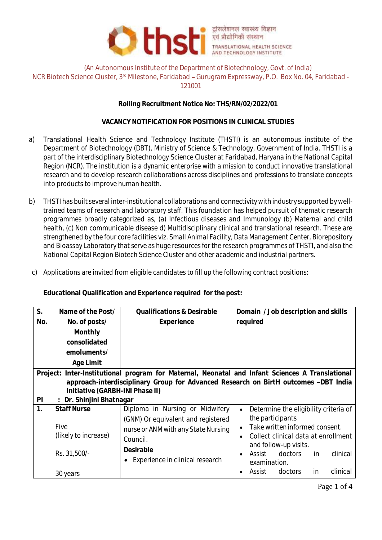

(An Autonomous Institute of the Department of Biotechnology, Govt. of India)

NCR Biotech Science Cluster, 3rd Milestone, Faridabad - Gurugram Expressway, P.O. Box No. 04, Faridabad -

121001

# **Rolling Recruitment Notice No: THS/RN/02/2022/01**

## **VACANCY NOTIFICATION FOR POSITIONS IN CLINICAL STUDIES**

- a) Translational Health Science and Technology Institute (THSTI) is an autonomous institute of the Department of Biotechnology (DBT), Ministry of Science & Technology, Government of India. THSTI is a part of the interdisciplinary Biotechnology Science Cluster at Faridabad, Haryana in the National Capital Region (NCR). The institution is a dynamic enterprise with a mission to conduct innovative translational research and to develop research collaborations across disciplines and professions to translate concepts into products to improve human health.
- b) THSTI has built several inter-institutional collaborations and connectivity with industry supported by welltrained teams of research and laboratory staff. This foundation has helped pursuit of thematic research programmes broadly categorized as, (a) Infectious diseases and Immunology (b) Maternal and child health, (c) Non communicable disease d) Multidisciplinary clinical and translational research. These are strengthened by the four core facilities viz. Small Animal Facility, Data Management Center, Biorepository and Bioassay Laboratory that serve as huge resources for the research programmes of THSTI, and also the National Capital Region Biotech Science Cluster and other academic and industrial partners.
- c) Applications are invited from eligible candidates to fill up the following contract positions:

**Educational Qualification and Experience required for the post:**

| S.                                                                                                                                                                                                                                                          | Name of the Post/                                                              | Qualifications & Desirable                                                                                                                                               | Domain / Job description and skills                                                                                                                                                                                                                                  |  |  |  |  |
|-------------------------------------------------------------------------------------------------------------------------------------------------------------------------------------------------------------------------------------------------------------|--------------------------------------------------------------------------------|--------------------------------------------------------------------------------------------------------------------------------------------------------------------------|----------------------------------------------------------------------------------------------------------------------------------------------------------------------------------------------------------------------------------------------------------------------|--|--|--|--|
| No.                                                                                                                                                                                                                                                         | No. of posts/                                                                  | Experience                                                                                                                                                               | required                                                                                                                                                                                                                                                             |  |  |  |  |
|                                                                                                                                                                                                                                                             | Monthly<br>consolidated<br>emoluments/<br>Age Limit                            |                                                                                                                                                                          |                                                                                                                                                                                                                                                                      |  |  |  |  |
| Project: Inter-Institutional program for Maternal, Neonatal and Infant Sciences A Translational<br>approach-interdisciplinary Group for Advanced Research on BirtH outcomes -DBT India<br>Initiative (GARBH-INI Phase II)<br>PI<br>: Dr. Shinjini Bhatnagar |                                                                                |                                                                                                                                                                          |                                                                                                                                                                                                                                                                      |  |  |  |  |
| 1.                                                                                                                                                                                                                                                          | <b>Staff Nurse</b><br>Five<br>(likely to increase)<br>Rs. 31,500/-<br>30 years | Diploma in Nursing or Midwifery<br>(GNM) Or equivalent and registered<br>nurse or ANM with any State Nursing<br>Council.<br>Desirable<br>Experience in clinical research | Determine the eligibility criteria of<br>$\bullet$<br>the participants<br>Take written informed consent.<br>Collect clinical data at enrollment<br>and follow-up visits.<br>Assist doctors<br>clinical<br>in.<br>examination.<br>clinical<br>Assist<br>doctors<br>in |  |  |  |  |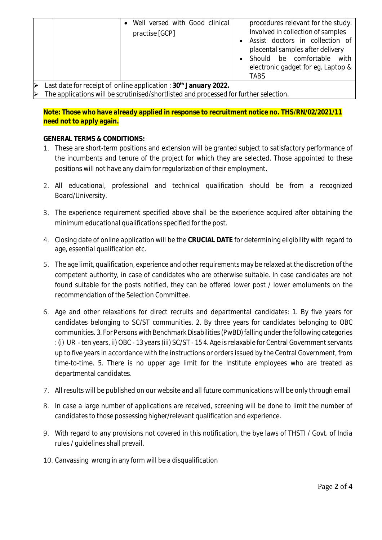|                                                                                  | Well versed with Good clinical<br>practise [GCP] | procedures relevant for the study.<br>Involved in collection of samples<br>Assist doctors in collection of<br>placental samples after delivery<br>Should be comfortable with<br>electronic gadget for eg. Laptop &<br>TABS |  |  |  |
|----------------------------------------------------------------------------------|--------------------------------------------------|----------------------------------------------------------------------------------------------------------------------------------------------------------------------------------------------------------------------------|--|--|--|
| ast data for receipt of online application $\cdot$ 30 <sup>th</sup> January 2022 |                                                  |                                                                                                                                                                                                                            |  |  |  |

 Last date for receipt of online application : **30th January 2022.** The applications will be scrutinised/shortlisted and processed for further selection.

**Note: Those who have already applied in response to recruitment notice no. THS/RN/02/2021/11 need not to apply again.**

# **GENERAL TERMS & CONDITIONS:**

- 1. These are short-term positions and extension will be granted subject to satisfactory performance of the incumbents and tenure of the project for which they are selected. Those appointed to these positions will not have any claim for regularization of their employment.
- 2. All educational, professional and technical qualification should be from a recognized Board/University.
- 3. The experience requirement specified above shall be the experience acquired after obtaining the minimum educational qualifications specified for the post.
- 4. Closing date of online application will be the **CRUCIAL DATE** for determining eligibility with regard to age, essential qualification etc.
- 5. The age limit, qualification, experience and other requirements may be relaxed at the discretion of the competent authority, in case of candidates who are otherwise suitable. In case candidates are not found suitable for the posts notified, they can be offered lower post / lower emoluments on the recommendation of the Selection Committee.
- 6. Age and other relaxations for direct recruits and departmental candidates: 1. By five years for candidates belonging to SC/ST communities. 2. By three years for candidates belonging to OBC communities. 3. For Persons with Benchmark Disabilities (PwBD) falling under the following categories : (i) UR - ten years, ii) OBC - 13 years (iii) SC/ST - 15 4. Age is relaxable for Central Government servants up to five years in accordance with the instructions or orders issued by the Central Government, from time-to-time. 5. There is no upper age limit for the Institute employees who are treated as departmental candidates.
- 7. All results will be published on our website and all future communications will be only through email
- 8. In case a large number of applications are received, screening will be done to limit the number of candidates to those possessing higher/relevant qualification and experience.
- 9. With regard to any provisions not covered in this notification, the bye laws of THSTI / Govt. of India rules / guidelines shall prevail.
- 10. Canvassing wrong in any form will be a disqualification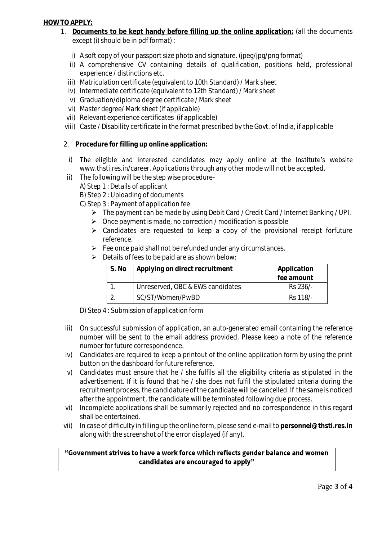#### **HOW TO APPLY:**

- 1. **Documents to be kept handy before filling up the online application:** (all the documents except (i) should be in pdf format) :
	- i) A soft copy of your passport size photo and signature. (jpeg/jpg/png format)
	- ii) A comprehensive CV containing details of qualification, positions held, professional experience / distinctions etc.
	- iii) Matriculation certificate (equivalent to 10th Standard) / Mark sheet
	- iv) Intermediate certificate (equivalent to 12th Standard) / Mark sheet
	- v) Graduation/diploma degree certificate / Mark sheet
	- vi) Master degree/ Mark sheet (if applicable)
	- vii) Relevant experience certificates (if applicable)
	- viii) Caste / Disability certificate in the format prescribed by the Govt. of India, if applicable
- 2. **Procedure for filling up online application:**
- i) The eligible and interested candidates may apply online at the Institute's website [www.thsti.res.in/career.](http://www.thsti.res.in/career) Applications through any other mode will not be accepted.
- ii) The following will be the step wise procedure-
	- A) Step 1 : Details of applicant
	- B) Step 2 : Uploading of documents
	- C) Step 3 : Payment of application fee
		- The payment can be made by using Debit Card / Credit Card / Internet Banking / UPI.
		- $\triangleright$  Once payment is made, no correction / modification is possible
		- Candidates are requested to keep a copy of the provisional receipt forfuture reference.
		- $\triangleright$  Fee once paid shall not be refunded under any circumstances.
		- $\triangleright$  Details of fees to be paid are as shown below:

| S. No | Applying on direct recruitment   | Application |
|-------|----------------------------------|-------------|
|       |                                  | fee amount  |
|       | Unreserved, OBC & EWS candidates | Rs 236/-    |
|       | SC/ST/Women/PwBD                 | Rs 118/-    |

D) Step 4 : Submission of application form

- iii) On successful submission of application, an auto-generated email containing the reference number will be sent to the email address provided. Please keep a note of the reference number for future correspondence.
- iv) Candidates are required to keep a printout of the online application form by using the print button on the dashboard for future reference.
- v) Candidates must ensure that he / she fulfils all the eligibility criteria as stipulated in the advertisement. If it is found that he / she does not fulfil the stipulated criteria during the recruitment process, the candidature of the candidate will be cancelled. If the same is noticed after the appointment, the candidate will be terminated following due process.
- vi) Incomplete applications shall be summarily rejected and no correspondence in this regard shall be entertained.
- vii) In case of difficulty in filling up the online form, please send e-mail to **personnel@thsti.res.in** along with the screenshot of the error displayed (if any).

### "Government strives to have a work force which reflects gender balance and women candidates are encouraged to apply"